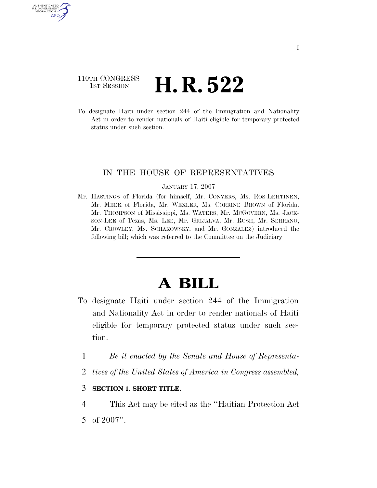## 110TH CONGRESS **1st Session H. R. 522**

AUTHENTICATED U.S. GOVERNMENT GPO

> To designate Haiti under section 244 of the Immigration and Nationality Act in order to render nationals of Haiti eligible for temporary protected status under such section.

### IN THE HOUSE OF REPRESENTATIVES

#### JANUARY 17, 2007

Mr. HASTINGS of Florida (for himself, Mr. CONYERS, Ms. ROS-LEHTINEN, Mr. MEEK of Florida, Mr. WEXLER, Ms. CORRINE BROWN of Florida, Mr. THOMPSON of Mississippi, Ms. WATERS, Mr. MCGOVERN, Ms. JACK-SON-LEE of Texas, Ms. LEE, Mr. GRIJALVA, Mr. RUSH, Mr. SERRANO, Mr. CROWLEY, Ms. SCHAKOWSKY, and Mr. GONZALEZ) introduced the following bill; which was referred to the Committee on the Judiciary

# **A BILL**

- To designate Haiti under section 244 of the Immigration and Nationality Act in order to render nationals of Haiti eligible for temporary protected status under such section.
	- 1 *Be it enacted by the Senate and House of Representa-*
	- 2 *tives of the United States of America in Congress assembled,*

### 3 **SECTION 1. SHORT TITLE.**

4 This Act may be cited as the ''Haitian Protection Act 5 of 2007''.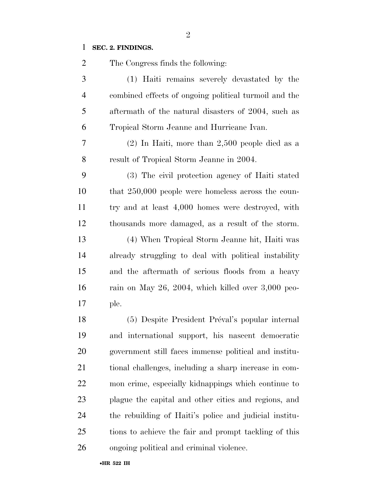### **SEC. 2. FINDINGS.**

| $\overline{2}$ | The Congress finds the following:                      |
|----------------|--------------------------------------------------------|
| $\mathfrak{Z}$ | (1) Haiti remains severely devastated by the           |
| $\overline{4}$ | combined effects of ongoing political turmoil and the  |
| 5              | aftermath of the natural disasters of 2004, such as    |
| 6              | Tropical Storm Jeanne and Hurricane Ivan.              |
| 7              | $(2)$ In Haiti, more than 2,500 people died as a       |
| 8              | result of Tropical Storm Jeanne in 2004.               |
| 9              | (3) The civil protection agency of Haiti stated        |
| 10             | that $250,000$ people were homeless across the coun-   |
| 11             | try and at least 4,000 homes were destroyed, with      |
| 12             | thousands more damaged, as a result of the storm.      |
| 13             | (4) When Tropical Storm Jeanne hit, Haiti was          |
| 14             | already struggling to deal with political instability  |
| 15             | and the aftermath of serious floods from a heavy       |
| 16             | rain on May 26, 2004, which killed over $3,000$ peo-   |
| 17             | ple.                                                   |
| 18             | (5) Despite President Préval's popular internal        |
| 19             | and international support, his nascent democratic      |
| 20             | government still faces immense political and institu-  |
| 21             | tional challenges, including a sharp increase in com-  |
| 22             | mon crime, especially kidnappings which continue to    |
| 23             | plague the capital and other cities and regions, and   |
| 24             | the rebuilding of Haiti's police and judicial institu- |
| 25             | tions to achieve the fair and prompt tackling of this  |
| 26             | ongoing political and criminal violence.               |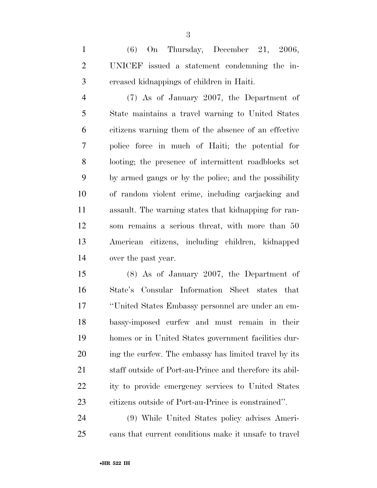(6) On Thursday, December 21, 2006, UNICEF issued a statement condemning the in-creased kidnappings of children in Haiti.

 (7) As of January 2007, the Department of State maintains a travel warning to United States citizens warning them of the absence of an effective police force in much of Haiti; the potential for looting; the presence of intermittent roadblocks set by armed gangs or by the police; and the possibility of random violent crime, including carjacking and assault. The warning states that kidnapping for ran- som remains a serious threat, with more than 50 American citizens, including children, kidnapped over the past year.

 (8) As of January 2007, the Department of State's Consular Information Sheet states that ''United States Embassy personnel are under an em- bassy-imposed curfew and must remain in their homes or in United States government facilities dur-20 ing the curfew. The embassy has limited travel by its staff outside of Port-au-Prince and therefore its abil- ity to provide emergency services to United States citizens outside of Port-au-Prince is constrained''.

 (9) While United States policy advises Ameri-cans that current conditions make it unsafe to travel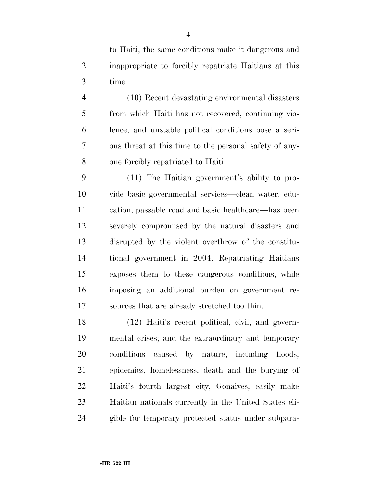to Haiti, the same conditions make it dangerous and inappropriate to forcibly repatriate Haitians at this time.

 (10) Recent devastating environmental disasters from which Haiti has not recovered, continuing vio- lence, and unstable political conditions pose a seri- ous threat at this time to the personal safety of any-one forcibly repatriated to Haiti.

 (11) The Haitian government's ability to pro- vide basic governmental services—clean water, edu- cation, passable road and basic healthcare—has been severely compromised by the natural disasters and disrupted by the violent overthrow of the constitu- tional government in 2004. Repatriating Haitians exposes them to these dangerous conditions, while imposing an additional burden on government re-sources that are already stretched too thin.

 (12) Haiti's recent political, civil, and govern- mental crises; and the extraordinary and temporary conditions caused by nature, including floods, epidemics, homelessness, death and the burying of Haiti's fourth largest city, Gonaives, easily make Haitian nationals currently in the United States eli-gible for temporary protected status under subpara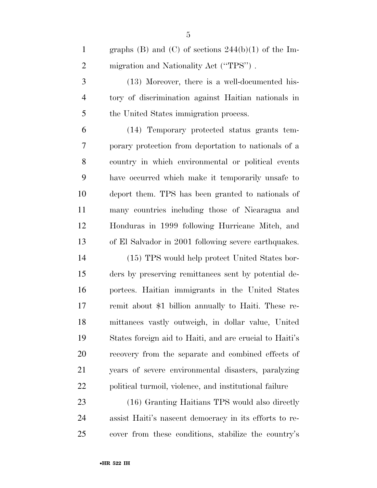1 graphs (B) and (C) of sections  $244(b)(1)$  of the Im-2 migration and Nationality Act ("TPS").

 (13) Moreover, there is a well-documented his- tory of discrimination against Haitian nationals in the United States immigration process.

 (14) Temporary protected status grants tem- porary protection from deportation to nationals of a country in which environmental or political events have occurred which make it temporarily unsafe to deport them. TPS has been granted to nationals of many countries including those of Nicaragua and Honduras in 1999 following Hurricane Mitch, and of El Salvador in 2001 following severe earthquakes.

 (15) TPS would help protect United States bor- ders by preserving remittances sent by potential de- portees. Haitian immigrants in the United States remit about \$1 billion annually to Haiti. These re- mittances vastly outweigh, in dollar value, United States foreign aid to Haiti, and are crucial to Haiti's recovery from the separate and combined effects of years of severe environmental disasters, paralyzing political turmoil, violence, and institutional failure

 (16) Granting Haitians TPS would also directly assist Haiti's nascent democracy in its efforts to re-cover from these conditions, stabilize the country's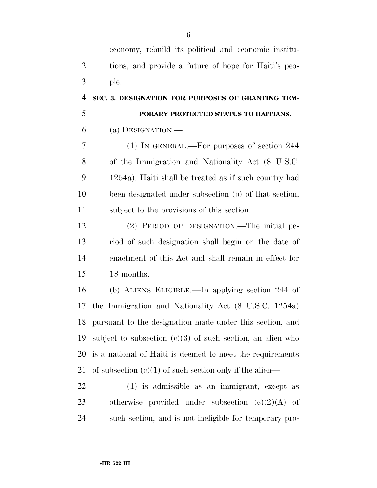| $\mathbf{1}$   | economy, rebuild its political and economic institu-         |
|----------------|--------------------------------------------------------------|
| $\overline{2}$ | tions, and provide a future of hope for Haiti's peo-         |
| 3              | ple.                                                         |
| $\overline{4}$ | SEC. 3. DESIGNATION FOR PURPOSES OF GRANTING TEM-            |
| 5              | PORARY PROTECTED STATUS TO HAITIANS.                         |
| 6              | (a) DESIGNATION.—                                            |
| 7              | (1) IN GENERAL.—For purposes of section 244                  |
| 8              | of the Immigration and Nationality Act (8 U.S.C.             |
| 9              | 1254a), Haiti shall be treated as if such country had        |
| 10             | been designated under subsection (b) of that section,        |
| 11             | subject to the provisions of this section.                   |
| 12             | (2) PERIOD OF DESIGNATION.—The initial pe-                   |
| 13             | riod of such designation shall begin on the date of          |
| 14             | enactment of this Act and shall remain in effect for         |
| 15             | 18 months.                                                   |
| 16             | (b) ALIENS ELIGIBLE.—In applying section 244 of              |
| 17             | the Immigration and Nationality Act (8 U.S.C. 1254a)         |
| 18             | pursuant to the designation made under this section, and     |
| 19             | subject to subsection $(c)(3)$ of such section, an alien who |
| 20             | is a national of Haiti is deemed to meet the requirements    |
| 21             | of subsection $(e)(1)$ of such section only if the alien—    |
| 22             | (1) is admissible as an immigrant, except as                 |
| 23             | otherwise provided under subsection $(e)(2)(A)$ of           |
| 24             | such section, and is not ineligible for temporary pro-       |